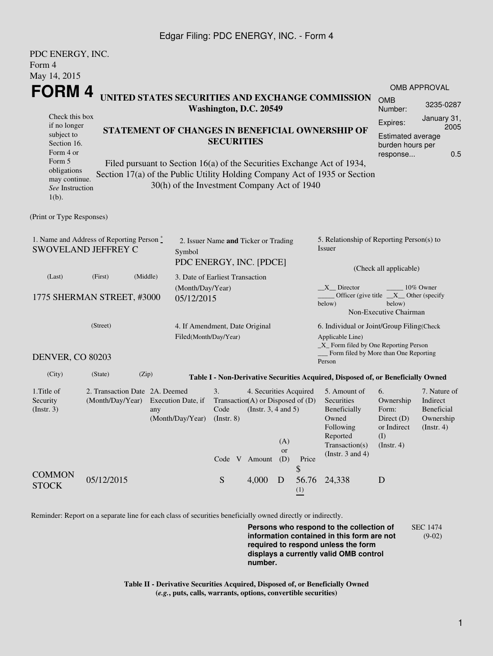## Edgar Filing: PDC ENERGY, INC. - Form 4

| PDC ENERGY, INC.                                                                   |                                                 |                                                                                           |                                             |                                                                         |       |           |           |                                                                                 |                       |                         |  |  |
|------------------------------------------------------------------------------------|-------------------------------------------------|-------------------------------------------------------------------------------------------|---------------------------------------------|-------------------------------------------------------------------------|-------|-----------|-----------|---------------------------------------------------------------------------------|-----------------------|-------------------------|--|--|
| Form 4                                                                             |                                                 |                                                                                           |                                             |                                                                         |       |           |           |                                                                                 |                       |                         |  |  |
| May 14, 2015                                                                       |                                                 |                                                                                           |                                             |                                                                         |       |           |           |                                                                                 |                       |                         |  |  |
| FORM 4<br>UNITED STATES SECURITIES AND EXCHANGE COMMISSION                         |                                                 |                                                                                           |                                             |                                                                         |       |           |           | <b>OMB APPROVAL</b>                                                             |                       |                         |  |  |
|                                                                                    |                                                 |                                                                                           |                                             |                                                                         |       |           |           |                                                                                 | <b>OMB</b>            | 3235-0287               |  |  |
| Washington, D.C. 20549<br>Check this box                                           |                                                 |                                                                                           |                                             |                                                                         |       |           |           | Number:                                                                         |                       |                         |  |  |
| if no longer                                                                       |                                                 |                                                                                           |                                             |                                                                         |       |           |           |                                                                                 |                       | January 31,<br>2005     |  |  |
| subject to                                                                         | STATEMENT OF CHANGES IN BENEFICIAL OWNERSHIP OF |                                                                                           |                                             |                                                                         |       |           |           | <b>Estimated average</b>                                                        |                       |                         |  |  |
| Section 16.<br>Form 4 or                                                           |                                                 | <b>SECURITIES</b>                                                                         |                                             |                                                                         |       |           |           | burden hours per                                                                |                       |                         |  |  |
| Form 5                                                                             |                                                 |                                                                                           |                                             |                                                                         |       |           |           | Filed pursuant to Section 16(a) of the Securities Exchange Act of 1934,         | response              | 0.5                     |  |  |
| obligations                                                                        |                                                 |                                                                                           |                                             |                                                                         |       |           |           | Section 17(a) of the Public Utility Holding Company Act of 1935 or Section      |                       |                         |  |  |
| may continue.<br>See Instruction                                                   |                                                 |                                                                                           | 30(h) of the Investment Company Act of 1940 |                                                                         |       |           |           |                                                                                 |                       |                         |  |  |
| $1(b)$ .                                                                           |                                                 |                                                                                           |                                             |                                                                         |       |           |           |                                                                                 |                       |                         |  |  |
|                                                                                    |                                                 |                                                                                           |                                             |                                                                         |       |           |           |                                                                                 |                       |                         |  |  |
| (Print or Type Responses)                                                          |                                                 |                                                                                           |                                             |                                                                         |       |           |           |                                                                                 |                       |                         |  |  |
|                                                                                    |                                                 |                                                                                           |                                             |                                                                         |       |           |           |                                                                                 |                       |                         |  |  |
| 1. Name and Address of Reporting Person $\degree$<br>SWOVELAND JEFFREY C<br>Symbol |                                                 |                                                                                           |                                             | 2. Issuer Name and Ticker or Trading                                    |       |           |           | 5. Relationship of Reporting Person(s) to<br>Issuer                             |                       |                         |  |  |
|                                                                                    |                                                 |                                                                                           |                                             |                                                                         |       |           |           |                                                                                 |                       |                         |  |  |
| (Last)                                                                             | (First)                                         | (Middle)                                                                                  |                                             | 3. Date of Earliest Transaction                                         |       |           |           |                                                                                 |                       |                         |  |  |
| (Month/Day/Year)                                                                   |                                                 |                                                                                           |                                             |                                                                         |       |           |           | $X_{n}$ Director<br>10% Owner<br>Officer (give title $X$ Other (specify         |                       |                         |  |  |
| 1775 SHERMAN STREET, #3000                                                         |                                                 |                                                                                           | 05/12/2015                                  |                                                                         |       |           |           | below)<br>below)                                                                |                       |                         |  |  |
|                                                                                    |                                                 |                                                                                           |                                             |                                                                         |       |           |           | Non-Executive Chairman                                                          |                       |                         |  |  |
| (Street)                                                                           |                                                 |                                                                                           |                                             | 4. If Amendment, Date Original                                          |       |           |           | 6. Individual or Joint/Group Filing(Check                                       |                       |                         |  |  |
|                                                                                    |                                                 |                                                                                           |                                             | Filed(Month/Day/Year)                                                   |       |           |           | Applicable Line)                                                                |                       |                         |  |  |
|                                                                                    |                                                 |                                                                                           |                                             |                                                                         |       |           |           | _X_ Form filed by One Reporting Person<br>Form filed by More than One Reporting |                       |                         |  |  |
| <b>DENVER, CO 80203</b>                                                            |                                                 |                                                                                           |                                             |                                                                         |       |           |           | Person                                                                          |                       |                         |  |  |
| (City)                                                                             | (State)                                         | (Zip)<br>Table I - Non-Derivative Securities Acquired, Disposed of, or Beneficially Owned |                                             |                                                                         |       |           |           |                                                                                 |                       |                         |  |  |
| 1. Title of                                                                        | 2. Transaction Date 2A. Deemed                  |                                                                                           |                                             | 3.<br>4. Securities Acquired                                            |       |           |           | 6.<br>7. Nature of<br>5. Amount of                                              |                       |                         |  |  |
| Security                                                                           | (Month/Day/Year)                                |                                                                                           | Execution Date, if                          | Transaction(A) or Disposed of $(D)$<br>(Instr. $3, 4$ and $5$ )<br>Code |       |           |           | Securities                                                                      | Ownership             | Indirect                |  |  |
| (Insert. 3)                                                                        |                                                 | any                                                                                       | (Month/Day/Year)                            |                                                                         |       |           |           | Beneficially<br>Owned                                                           | Form:<br>Direct $(D)$ | Beneficial<br>Ownership |  |  |
|                                                                                    |                                                 |                                                                                           |                                             | $($ Instr. $8)$                                                         |       |           | Following | or Indirect<br>(Insert. 4)                                                      |                       |                         |  |  |
|                                                                                    |                                                 |                                                                                           |                                             |                                                                         |       | (A)       |           | Reported                                                                        | (I)                   |                         |  |  |
|                                                                                    |                                                 |                                                                                           |                                             |                                                                         |       | <b>or</b> |           | Transaction(s)                                                                  | (Insert. 4)           |                         |  |  |
|                                                                                    |                                                 |                                                                                           |                                             | Code V Amount                                                           |       | (D)       | Price     | (Instr. $3$ and $4$ )                                                           |                       |                         |  |  |
| <b>COMMON</b>                                                                      |                                                 |                                                                                           |                                             |                                                                         |       |           | \$        |                                                                                 |                       |                         |  |  |
| <b>STOCK</b>                                                                       | 05/12/2015                                      |                                                                                           |                                             | ${\mathbf S}$                                                           | 4,000 | D         | 56.76     | 24,338                                                                          | D                     |                         |  |  |
|                                                                                    |                                                 |                                                                                           |                                             |                                                                         |       |           | (1)       |                                                                                 |                       |                         |  |  |

Reminder: Report on a separate line for each class of securities beneficially owned directly or indirectly.

**Persons who respond to the collection of information contained in this form are not required to respond unless the form displays a currently valid OMB control number.** SEC 1474 (9-02)

**Table II - Derivative Securities Acquired, Disposed of, or Beneficially Owned (***e.g.***, puts, calls, warrants, options, convertible securities)**